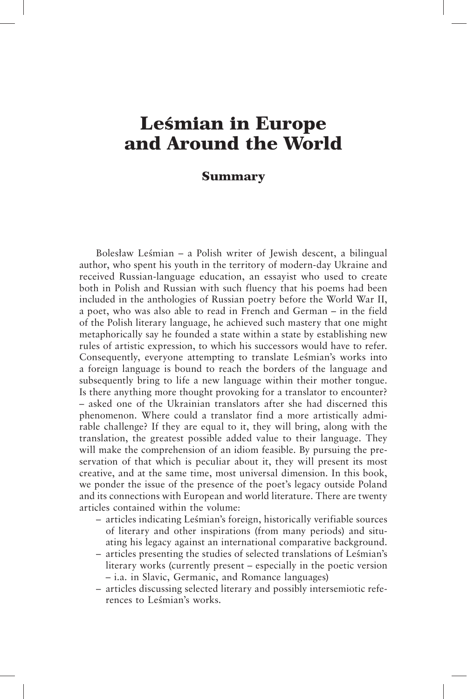## Leśmian in Europe and Around the World

## Summary

Bolesław Leśmian – a Polish writer of Jewish descent, a bilingual author, who spent his youth in the territory of modern-day Ukraine and received Russian-language education, an essayist who used to create both in Polish and Russian with such fluency that his poems had been included in the anthologies of Russian poetry before the World War II, a poet, who was also able to read in French and German – in the field of the Polish literary language, he achieved such mastery that one might metaphorically say he founded a state within a state by establishing new rules of artistic expression, to which his successors would have to refer. Consequently, everyone attempting to translate Leśmian's works into a foreign language is bound to reach the borders of the language and subsequently bring to life a new language within their mother tongue. Is there anything more thought provoking for a translator to encounter? – asked one of the Ukrainian translators after she had discerned this phenomenon. Where could a translator find a more artistically admirable challenge? If they are equal to it, they will bring, along with the translation, the greatest possible added value to their language. They will make the comprehension of an idiom feasible. By pursuing the preservation of that which is peculiar about it, they will present its most creative, and at the same time, most universal dimension. In this book, we ponder the issue of the presence of the poet's legacy outside Poland and its connections with European and world literature. There are twenty articles contained within the volume:

- articles indicating Leśmian's foreign, historically verifiable sources of literary and other inspirations (from many periods) and situating his legacy against an international comparative background.
- articles presenting the studies of selected translations of Leśmian's literary works (currently present – especially in the poetic version – i.a. in Slavic, Germanic, and Romance languages)
- articles discussing selected literary and possibly intersemiotic references to Leśmian's works.